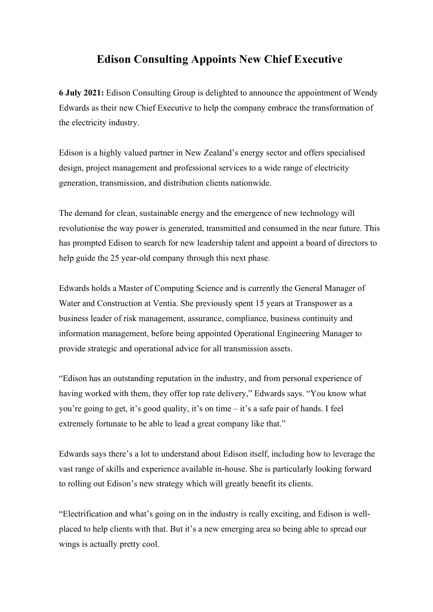## Edison Consulting Appoints New Chief Executive

6 July 2021: Edison Consulting Group is delighted to announce the appointment of Wendy Edwards as their new Chief Executive to help the company embrace the transformation of the electricity industry.

Edison is a highly valued partner in New Zealand's energy sector and offers specialised design, project management and professional services to a wide range of electricity generation, transmission, and distribution clients nationwide.

The demand for clean, sustainable energy and the emergence of new technology will revolutionise the way power is generated, transmitted and consumed in the near future. This has prompted Edison to search for new leadership talent and appoint a board of directors to help guide the 25 year-old company through this next phase.

Edwards holds a Master of Computing Science and is currently the General Manager of Water and Construction at Ventia. She previously spent 15 years at Transpower as a business leader of risk management, assurance, compliance, business continuity and information management, before being appointed Operational Engineering Manager to provide strategic and operational advice for all transmission assets.

"Edison has an outstanding reputation in the industry, and from personal experience of having worked with them, they offer top rate delivery," Edwards says. "You know what you're going to get, it's good quality, it's on time – it's a safe pair of hands. I feel extremely fortunate to be able to lead a great company like that."

Edwards says there's a lot to understand about Edison itself, including how to leverage the vast range of skills and experience available in-house. She is particularly looking forward to rolling out Edison's new strategy which will greatly benefit its clients.

"Electrification and what's going on in the industry is really exciting, and Edison is wellplaced to help clients with that. But it's a new emerging area so being able to spread our wings is actually pretty cool.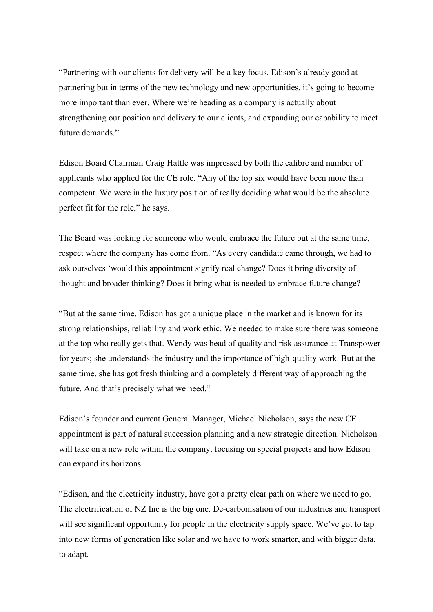"Partnering with our clients for delivery will be a key focus. Edison's already good at partnering but in terms of the new technology and new opportunities, it's going to become more important than ever. Where we're heading as a company is actually about strengthening our position and delivery to our clients, and expanding our capability to meet future demands."

Edison Board Chairman Craig Hattle was impressed by both the calibre and number of applicants who applied for the CE role. "Any of the top six would have been more than competent. We were in the luxury position of really deciding what would be the absolute perfect fit for the role," he says.

The Board was looking for someone who would embrace the future but at the same time, respect where the company has come from. "As every candidate came through, we had to ask ourselves 'would this appointment signify real change? Does it bring diversity of thought and broader thinking? Does it bring what is needed to embrace future change?

"But at the same time, Edison has got a unique place in the market and is known for its strong relationships, reliability and work ethic. We needed to make sure there was someone at the top who really gets that. Wendy was head of quality and risk assurance at Transpower for years; she understands the industry and the importance of high-quality work. But at the same time, she has got fresh thinking and a completely different way of approaching the future. And that's precisely what we need."

Edison's founder and current General Manager, Michael Nicholson, says the new CE appointment is part of natural succession planning and a new strategic direction. Nicholson will take on a new role within the company, focusing on special projects and how Edison can expand its horizons.

"Edison, and the electricity industry, have got a pretty clear path on where we need to go. The electrification of NZ Inc is the big one. De-carbonisation of our industries and transport will see significant opportunity for people in the electricity supply space. We've got to tap into new forms of generation like solar and we have to work smarter, and with bigger data, to adapt.